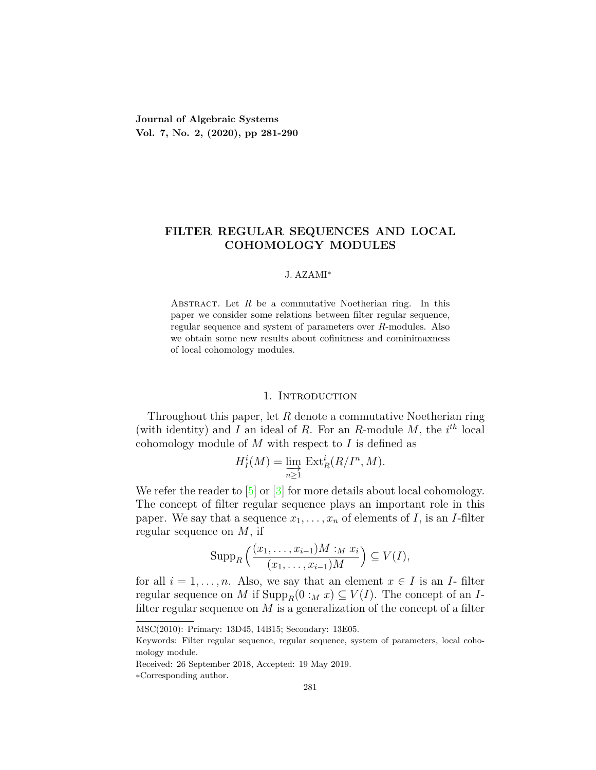**Journal of Algebraic Systems Vol. 7, No. 2, (2020), pp 281-290**

## **FILTER REGULAR SEQUENCES AND LOCAL COHOMOLOGY MODULES**

#### J. AZAMI*<sup>∗</sup>*

ABSTRACT. Let  $R$  be a commutative Noetherian ring. In this paper we consider some relations between filter regular sequence, regular sequence and system of parameters over *R*-modules. Also we obtain some new results about cofinitness and cominimaxness of local cohomology modules.

### 1. INTRODUCTION

Throughout this paper, let *R* denote a commutative Noetherian ring (with identity) and *I* an ideal of *R*. For an *R*-module *M*, the  $i^{th}$  local cohomology module of *M* with respect to *I* is defined as

$$
H_I^i(M) = \varinjlim_{n \ge 1} \operatorname{Ext}_R^i(R/I^n, M).
$$

Werefer the reader to  $\boxed{5}$  or  $\boxed{3}$  for more details about local cohomology. The concept of filter regular sequence plays an important role in this paper. We say that a sequence  $x_1, \ldots, x_n$  of elements of *I*, is an *I*-filter regular sequence on *M*, if

$$
\operatorname{Supp}_R\left(\frac{(x_1,\ldots,x_{i-1})M :_M x_i}{(x_1,\ldots,x_{i-1})M}\right) \subseteq V(I),
$$

for all  $i = 1, \ldots, n$ . Also, we say that an element  $x \in I$  is an *I*-filter regular sequence on *M* if  $\text{Supp}_R(0 :_M x) \subseteq V(I)$ . The concept of an *I*filter regular sequence on *M* is a generalization of the concept of a filter

MSC(2010): Primary: 13D45, 14B15; Secondary: 13E05.

Keywords: Filter regular sequence, regular sequence, system of parameters, local cohomology module.

Received: 26 September 2018, Accepted: 19 May 2019.

*<sup>∗</sup>*Corresponding author.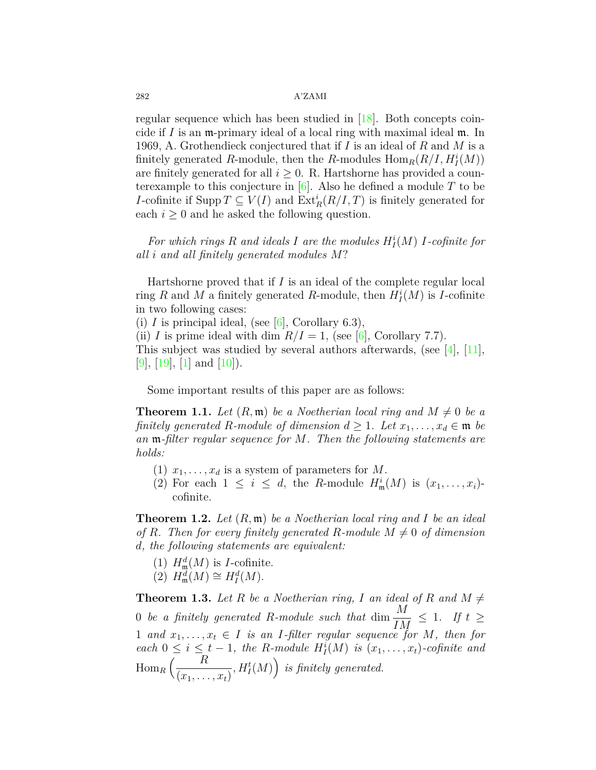regular sequence which has been studied in[[18\]](#page-9-0). Both concepts coincide if *I* is an m-primary ideal of a local ring with maximal ideal m. In 1969, A. Grothendieck conjectured that if *I* is an ideal of *R* and *M* is a finitely generated *R*-module, then the *R*-modules  $\text{Hom}_R(R/I, H^i_I(M))$ are finitely generated for all  $i \geq 0$ . R. Hartshorne has provided a counterexample to this conjecture in [\[6](#page-8-2)]. Also he defined a module *T* to be *I*-cofinite if  $\text{Supp } T \subseteq V(I)$  and  $\text{Ext}^i_R(R/I, T)$  is finitely generated for each  $i \geq 0$  and he asked the following question.

For which rings  $R$  and ideals  $I$  are the modules  $H_I^i(M)$   $I$ -cofinite for *all i and all finitely generated modules M*?

Hartshorne proved that if *I* is an ideal of the complete regular local ring *R* and *M* a finitely generated *R*-module, then  $H_I^i(M)$  is *I*-cofinite in two following cases:

(i)  $I$  is principal ideal, (see [\[6](#page-8-2)], Corollary 6.3),

(ii) *I* is prime ideal with dim  $R/I = 1$ , (see [\[6](#page-8-2)], Corollary 7.7). This subject was studied by several authors afterwards, (see [[4\]](#page-8-3),[[11\]](#page-9-1), [[9\]](#page-8-4), [\[19\]](#page-9-2), [[1](#page-8-5)] and  $[10]$  $[10]$  $[10]$ ).

Some important results of this paper are as follows:

**Theorem 1.1.** Let  $(R, \mathfrak{m})$  be a Noetherian local ring and  $M \neq 0$  be a *finitely generated R*-module of dimension  $d \geq 1$ . Let  $x_1, \ldots, x_d \in \mathfrak{m}$  be *an* m*-filter regular sequence for M. Then the following statements are holds:*

- (1)  $x_1, \ldots, x_d$  is a system of parameters for *M*.
- (2) For each  $1 \leq i \leq d$ , the *R*-module  $H^i_{\mathfrak{m}}(M)$  is  $(x_1, \ldots, x_i)$ cofinite.

**Theorem 1.2.** *Let* (*R,* m) *be a Noetherian local ring and I be an ideal of R.* Then for every finitely generated *R-module*  $M \neq 0$  *of dimension d, the following statements are equivalent:*

- (1)  $H^d_{\mathfrak{m}}(M)$  is *I*-cofinite.
- $(2)$   $H^d_{\mathfrak{m}}(M) \cong H^d_I(M).$

**Theorem 1.3.** Let R be a Noetherian ring, I an ideal of R and  $M \neq$ 0 *be a finitely generated R-module such that* dim  $\frac{M}{I}$  $\frac{M}{IM} \leq 1$ *. If*  $t \geq$ 1 and  $x_1, \ldots, x_t \in I$  is an *I*-filter regular sequence for *M*, then for *each*  $0 \leq i \leq t-1$ , the *R-module*  $H_I^i(M)$  *is*  $(x_1, \ldots, x_t)$ *-cofinite and*  $\operatorname{Hom}_R\left(\frac{R}{\sqrt{R}}\right)$  $(x_1, \ldots, x_t)$  $, H_I^t(M)$  *is finitely generated.*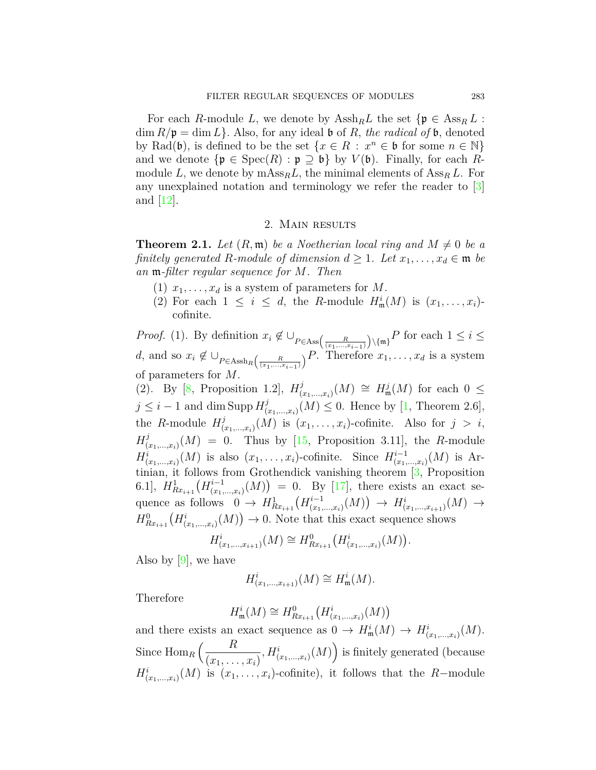For each *R*-module *L*, we denote by  $\text{Assh}_{R}L$  the set  $\{\mathfrak{p} \in \text{Ass}_{R} L$ :  $\dim R/\mathfrak{p} = \dim L$ . Also, for any ideal **b** of *R*, the radical of **b**, denoted by Rad( $\mathfrak{b}$ ), is defined to be the set  $\{x \in R : x^n \in \mathfrak{b} \text{ for some } n \in \mathbb{N}\}\$ and we denote  $\{\mathfrak{p} \in \text{Spec}(R) : \mathfrak{p} \supseteq \mathfrak{b}\}\$  by  $V(\mathfrak{b})$ . Finally, for each Rmodule *L*, we denote by  $\text{mAss}_{R}L$ , the minimal elements of  $\text{Ass}_{R}L$ . For any unexplained notation and terminology we refer the reader to [\[3\]](#page-8-1) and  $|12|$  $|12|$  $|12|$ .

#### 2. Main results

**Theorem 2.1.** Let  $(R, \mathfrak{m})$  be a Noetherian local ring and  $M \neq 0$  be a *finitely generated R*-module of dimension  $d \geq 1$ . Let  $x_1, \ldots, x_d \in \mathfrak{m}$  be *an* m*-filter regular sequence for M. Then*

- (1)  $x_1, \ldots, x_d$  is a system of parameters for *M*.
- (2) For each  $1 \leq i \leq d$ , the *R*-module  $H^i_{\mathfrak{m}}(M)$  is  $(x_1, \ldots, x_i)$ cofinite.

*Proof.* (1). By definition  $x_i \notin \bigcup_{P \in \text{Ass}\left(\frac{R}{(x_1,\dots,x_{i-1})}\right) \setminus \{\mathfrak{m}\}} P$  for each  $1 \leq i \leq$ *d*, and so  $x_i \notin \bigcup_{P \in \text{Assh}_R\left(\frac{R}{(x_1,\dots,x_{i-1})}\right)} P$ . Therefore  $x_1,\dots,x_d$  is a system of parameters for *M*.

(2). By [[8,](#page-8-6) Proposition 1.2],  $H_{\ell}^{j}$  $\frac{f(x_1,...,x_i)}{f(x)}$  (*M*)  $\cong$  *H*<sup>*i*</sup><sub>**m**</sub></sub>(*M*) for each 0 ≤  $j \leq i - 1$  and dim Supp  $H_i^j$  $(\sum_{(x_1,...,x_i)}^{j}(M) \leq 0$ . Hence by [\[1,](#page-8-5) Theorem 2.6], the *R*-module  $H_l^j$  $(x_1,...,x_i)$  (*M*) is  $(x_1,...,x_i)$ -cofinite. Also for  $j > i$ ,  $H^j_\rho$  $(\begin{array}{rcl}\n\frac{\partial}{\partial x} & (x_1, \ldots, x_i) \\
\end{array})$  (*M*) = 0. Thus by [[15](#page-9-5), Proposition 3.11], the *R*-module  $H^i_{(x_1,\ldots,x_i)}(M)$  is also  $(x_1,\ldots,x_i)$ -cofinite. Since  $H^{i-1}_{(x_1)}$  $_{(x_{1},...,x_{i})}^{i-1}(M)$  is Artinian, it follows from Grothendick vanishing theorem [\[3](#page-8-1), Proposition  $(H_{Rx_{i+1}}^1(H_{(x_1)}^{i-1}))$  $\binom{i-1}{(x_1,...,x_i)}(M) = 0$ . By [[17](#page-9-6)], there exists an exact sequence as follows  $0 \to H_{Rx_{i+1}}^1(H_{(x_1)}^{i-1})$  $H^i_{(x_1,...,x_i)}(M) \to H^i_{(x_1,...,x_{i+1})}(M) \to$  $H_{Rx_{i+1}}^0(H_{(x_1,...,x_i)}^i(M)) \to 0$ . Note that this exact sequence shows

$$
H^i_{(x_1,\ldots,x_{i+1})}(M) \cong H^0_{Rx_{i+1}}\big(H^i_{(x_1,\ldots,x_i)}(M)\big).
$$

Also by  $[9]$ , we have

$$
H^i_{(x_1,\ldots,x_{i+1})}(M)\cong H^i_{\mathfrak{m}}(M).
$$

Therefore

$$
H^i_{\mathfrak{m}}(M)\cong H^0_{Rx_{i+1}}\big(H^i_{(x_1,\ldots,x_i)}(M)\big)
$$

and there exists an exact sequence as  $0 \to H^i_{\mathfrak{m}}(M) \to H^i_{(x_1,\ldots,x_i)}(M)$ . Since  $\text{Hom}_R\left(\frac{R}{\sqrt{R}}\right)$  $(x_1, \ldots, x_i)$  $, H^i_{(x_1,\ldots,x_i)}(M)$  is finitely generated (because  $H^i_{(x_1,...,x_i)}(M)$  is  $(x_1,...,x_i)$ -cofinite), it follows that the *R−*module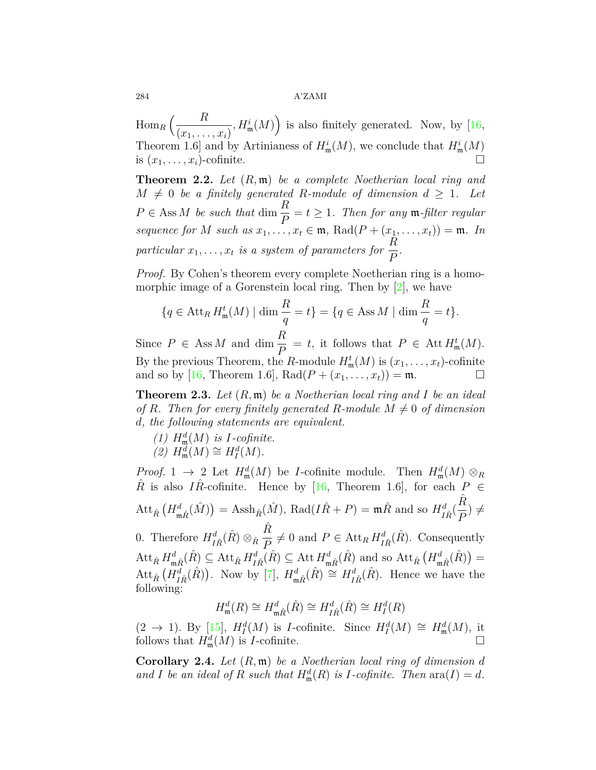$\operatorname{Hom}_R\left(\frac{R}{\sqrt{R}}\right)$  $(x_1, \ldots, x_i)$  $H^i_{\mathfrak{m}}(M)$  is also finitely generated. Now, by [\[16,](#page-9-7) Theorem 1.6 and by Artinianess of  $H^i_{\mathfrak{m}}(M)$ , we conclude that  $H^i_{\mathfrak{m}}(M)$ is  $(x_1, \ldots, x_i)$ -cofinite.  $\Box$ 

<span id="page-3-0"></span>**Theorem 2.2.** *Let* (*R,* m) *be a complete Noetherian local ring and*  $M \neq 0$  *be a finitely generated R-module of dimension*  $d \geq 1$ *. Let*  $P \in \text{Ass } M$  *be such that* dim  $\frac{R}{P} = t \geq 1$ *. Then for any* m-filter regular *sequence for M such as*  $x_1, \ldots, x_t \in \mathfrak{m}$ , Rad $(P + (x_1, \ldots, x_t)) = \mathfrak{m}$ . In *particular*  $x_1, \ldots, x_t$  *is a system of parameters for*  $\frac{R}{R}$ *P .*

*Proof.* By Cohen's theorem every complete Noetherian ring is a homomorphic image of a Gorenstein local ring. Then by  $[2]$  $[2]$  $[2]$ , we have

$$
\{q \in \text{Att}_R H^t_{\mathfrak{m}}(M) \mid \dim \frac{R}{q} = t\} = \{q \in \text{Ass } M \mid \dim \frac{R}{q} = t\}.
$$

Since  $P \in \text{Ass } M$  and dim  $\frac{R}{P} = t$ , it follows that  $P \in \text{Att } H^t_{\mathfrak{m}}(M)$ . By the previous Theorem, the *R*-module  $H^t_{\mathfrak{m}}(M)$  is  $(x_1, \ldots, x_t)$ -cofinite and so by [\[16,](#page-9-7) Theorem 1.6], Rad $(P + (x_1, ..., x_t)) = \mathfrak{m}$ .

**Theorem 2.3.** *Let* (*R,* m) *be a Noetherian local ring and I be an ideal of R.* Then for every finitely generated *R-module*  $M \neq 0$  *of dimension d, the following statements are equivalent.*

- *(1)*  $H^d_{\mathfrak{m}}(M)$  *is I-cofinite.*
- $\widetilde{H}^d_{\mathfrak{m}}(M) \cong H^d_I(M).$

*Proof.* 1  $\rightarrow$  2 Let  $H^d_{\mathfrak{m}}(M)$  be *I*-cofinite module. Then  $H^d_{\mathfrak{m}}(M) \otimes_R$  $\hat{R}$  is also *IR*<sup>2</sup>-cofinite. Hence by [\[16,](#page-9-7) Theorem 1.6], for each  $P \in$  $\mathrm{Att}_{\hat{R}}\left(H_{\mathfrak{m}\hat{R}}^{d}(\hat{M})\right) = \mathrm{Assh}_{\hat{R}}(\hat{M}), \mathrm{Rad}(I\hat{R}+P) = \mathfrak{m}\hat{R} \mathrm{ and so } H_{I\hat{R}}^{d}(\hat{M})$  $\hat{R}$  $\frac{P}{P}$   $\neq$ 0. Therefore  $H^d_{I\hat{R}}(\hat{R}) \otimes_{\hat{R}}$  $\hat{R}$  $\frac{R}{P} \neq 0$  and  $P \in \text{Att}_R H^d_{I\hat{R}}(\hat{R})$ . Consequently  $\mathrm{Att}_{\hat{R}} H^d_{\mathfrak{m}\hat{R}}(\hat{R}) \subseteq \mathrm{Att}_{\hat{R}} H^d_{I\hat{R}}(\hat{R}) \subseteq \mathrm{Att}_{H^d_{\mathfrak{m}\hat{R}}}(\hat{R})$  and so  $\mathrm{Att}_{\hat{R}}\left(H^d_{\mathfrak{m}\hat{R}}(\hat{R})\right) =$ 

Att<sub> $\hat{R}$ </sub> $(H_{I\hat{R}}^d(\hat{R}))$ . Now by [\[7](#page-8-8)],  $H_{m\hat{R}}^d(\hat{R}) \cong H_{I\hat{R}}^d(\hat{R})$ . Hence we have the following:

$$
H^d_{\mathfrak{m}}(R)\cong H^d_{\mathfrak{m}\hat{R}}(\hat{R})\cong H^d_{I\hat{R}}(\hat{R})\cong H^d_I(R)
$$

 $(2 \rightarrow 1)$  $(2 \rightarrow 1)$  $(2 \rightarrow 1)$ *.* By [[15\]](#page-9-5),  $H_I^d(M)$  is *I*-cofinite. Since  $H_I^d(M) \cong H_{\mathfrak{m}}^d(M)$ , it follows that  $H^d_{\mathfrak{m}}(M)$  is *I*-cofinite.  $\Box$ 

**Corollary 2.4.** *Let* (*R,* m) *be a Noetherian local ring of dimension d* and *I* be an ideal of *R* such that  $H_{\mathfrak{m}}^d(R)$  is *I*-cofinite. Then  $\text{ara}(I) = d$ .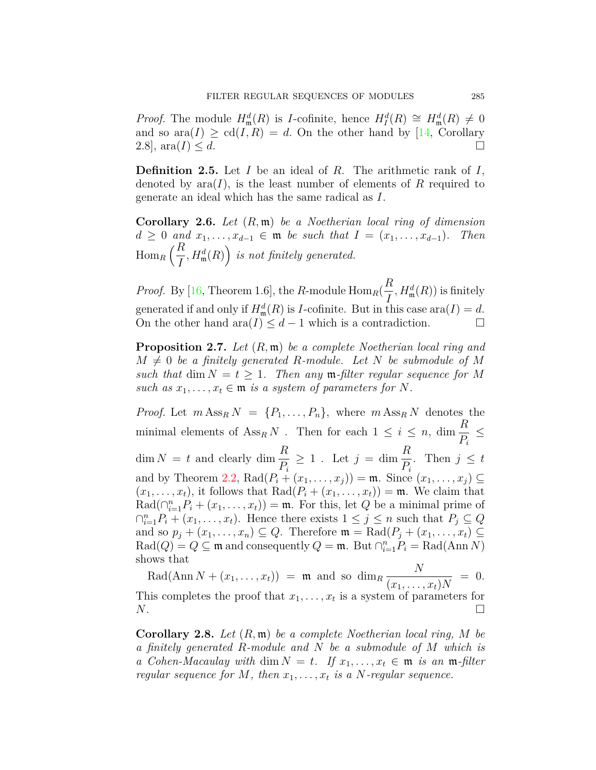*Proof.* The module  $H^d_{\mathfrak{m}}(R)$  is *I*-cofinite, hence  $H^d_I(R) \cong H^d_{\mathfrak{m}}(R) \neq 0$ and so  $\text{ara}(I) \geq \text{cd}(I, R) = d$ . On the other hand by [\[14,](#page-9-8) Corollary 2.8],  $\text{ara}(I) \leq d$ .

**Definition 2.5.** Let *I* be an ideal of *R*. The arithmetic rank of *I*, denoted by  $ara(I)$ , is the least number of elements of R required to generate an ideal which has the same radical as *I*.

**Corollary 2.6.** *Let* (*R,* m) *be a Noetherian local ring of dimension d* ≥ 0 *and*  $x_1, \ldots, x_{d-1}$  ∈ **m** *be such that*  $I = (x_1, \ldots, x_{d-1})$ *. Then*  $\operatorname{Hom}_R\left(\frac{R}{I}\right)$ *I*  $,H_{\mathfrak{m}}^{d}(R)$  *is not finitely generated.* 

*Proof.* By [[16](#page-9-7), Theorem 1.6], the *R*-module  $\text{Hom}_R(\frac{R}{I})$ *I*  $, H_{\mathfrak{m}}^{d}(R))$  is finitely generated if and only if  $H^d_{\mathfrak{m}}(R)$  is *I*-cofinite. But in this case ara $(I) = d$ . On the other hand ara $(I) \leq d-1$  which is a contradiction.  $\Box$ 

<span id="page-4-0"></span>**Proposition 2.7.** *Let* (*R,* m) *be a complete Noetherian local ring and*  $M \neq 0$  *be a finitely generated R-module. Let N be submodule of M such that* dim  $N = t \geq 1$ *. Then any* **m**-filter regular sequence for M *such as*  $x_1, \ldots, x_t \in \mathfrak{m}$  *is a system of parameters for*  $N$ *.* 

*Proof.* Let  $m \text{Ass}_R N = \{P_1, \ldots, P_n\}$ , where  $m \text{Ass}_R N$  denotes the minimal elements of  $\operatorname{Ass}_R N$ . Then for each  $1 \leq i \leq n$ , dim  $\frac{R}{R}$  $\frac{1}{P_i} \leq$  $\dim N = t$  and clearly  $\dim \frac{R}{R}$ *Pi*  $\geq 1$ . Let  $j = \dim \frac{R}{R}$ *Pi* . Then  $j \leq t$ and by Theorem [2.2](#page-3-0),  $\text{Rad}(P_i + (x_1, ..., x_i)) = \mathfrak{m}$ . Since  $(x_1, ..., x_i) \subseteq$  $(x_1, \ldots, x_t)$ , it follows that Rad $(P_i + (x_1, \ldots, x_t)) = \mathfrak{m}$ . We claim that  $\text{Rad}(\bigcap_{i=1}^{n} P_i + (x_1, \ldots, x_t)) = \mathfrak{m}$ . For this, let *Q* be a minimal prime of  $∩_{i=1}^{n}P_i + (x_1, \ldots, x_t)$ . Hence there exists  $1 ≤ j ≤ n$  such that  $P_j ⊆ Q$ and so  $p_j + (x_1, \ldots, x_n) \subseteq Q$ . Therefore  $\mathfrak{m} = \text{Rad}(P_j + (x_1, \ldots, x_t) \subseteq$  $\text{Rad}(Q) = Q \subseteq \mathfrak{m}$  and consequently  $Q = \mathfrak{m}$ . But  $\bigcap_{i=1}^{n} P_i = \text{Rad}(\text{Ann } N)$ shows that

 $\text{Rad}(\text{Ann } N + (x_1, \ldots, x_t)) = \mathfrak{m} \text{ and so } \dim_R \frac{N}{\sqrt{N}}$  $(x_1, \ldots, x_t)N$  $= 0.$ This completes the proof that  $x_1, \ldots, x_t$  is a system of parameters for  $N$ .

**Corollary 2.8.** *Let* (*R,* m) *be a complete Noetherian local ring, M be a finitely generated R-module and N be a submodule of M which is a Cohen-Macaulay with* dim  $N = t$ *. If*  $x_1, \ldots, x_t \in \mathfrak{m}$  *is an*  $\mathfrak{m}\text{-}filter$ *regular sequence for*  $M$ *, then*  $x_1, \ldots, x_t$  *is a*  $N$ *-regular sequence.*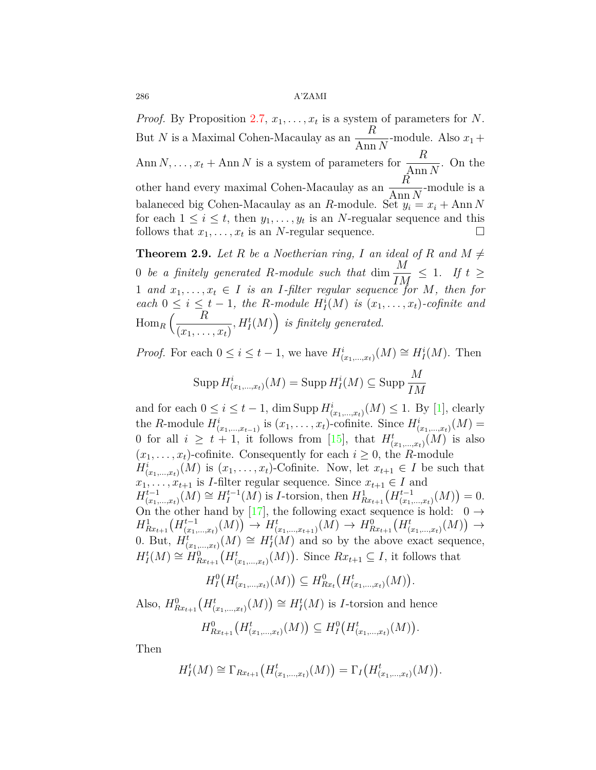*Proof.* By Proposition [2.7,](#page-4-0)  $x_1, \ldots, x_t$  is a system of parameters for *N*. But *<sup>N</sup>* is a Maximal Cohen-Macaulay as an *<sup>R</sup>*  $\frac{1}{\text{Ann }N}$ -module. Also  $x_1 +$ Ann *N*, ...,  $x_t$  + Ann *N* is a system of parameters for  $\frac{R}{\text{Ann }N}$ . On the other hand every maximal Cohen-Macaulay as an *<sup>R</sup>* Ann *N* -module is a balaneced big Cohen-Macaulay as an *R*-module. Set  $y_i = x_i + Ann N$ for each  $1 \leq i \leq t$ , then  $y_1, \ldots, y_t$  is an *N*-regualar sequence and this follows that  $x_1, \ldots, x_t$  is an *N*-regular sequence. □

<span id="page-5-0"></span>**Theorem 2.9.** *Let R be a Noetherian ring, I an ideal of R and*  $M \neq$ 0 *be a finitely generated R*-module such that dim  $\frac{M}{I}$  $\frac{M}{IM} \leq 1$ *. If*  $t \geq$ 1 and  $x_1, \ldots, x_t \in I$  is an *I*-filter regular sequence for *M*, then for *each*  $0 \leq i \leq t-1$ , the *R-module*  $H_I^i(M)$  *is*  $(x_1, \ldots, x_t)$ *-cofinite and*  $\operatorname{Hom}_R\left(\frac{R}{\sqrt{R}}\right)$  $(x_1, \ldots, x_t)$  $, H_I^t(M)$  *is finitely generated.* 

*Proof.* For each  $0 \leq i \leq t-1$ , we have  $H^i_{(x_1,...,x_t)}(M) \cong H^i_I(M)$ . Then

$$
\operatorname{Supp} H^i_{(x_1,\ldots,x_t)}(M) = \operatorname{Supp} H^i_I(M) \subseteq \operatorname{Supp} \frac{M}{IM}
$$

and for each  $0 \leq i \leq t-1$ , dim Supp  $H^i_{(x_1,\ldots,x_t)}(M) \leq 1$ . By [\[1](#page-8-5)], clearly the *R*-module  $H^i_{(x_1,...,x_{t-1})}$  is  $(x_1,...,x_t)$ -cofinite. Since  $H^i_{(x_1,...,x_t)}(M)$  = 0 for all  $i \geq t+1$ , it follows from [[15](#page-9-5)], that  $H^t_{(x_1,...,x_t)}(M)$  is also  $(x_1, \ldots, x_t)$ -cofinite. Consequently for each  $i \geq 0$ , the *R*-module  $H^i_{(x_1,...,x_t)}(M)$  is  $(x_1,...,x_t)$ -Cofinite. Now, let  $x_{t+1} \in I$  be such that  $x_1, \ldots, x_{t+1}$  is *I*-filter regular sequence. Since  $x_{t+1} \in I$  and  $H^{t-1}_{(r)}$  $\chi_{(x_1,...,x_t)}^{t-1}(M) \cong H_I^{t-1}$  $I_I^{t-1}(M)$  is *I*-torsion, then  $H_{Rx_{t+1}}^1(H_{(x_1)}^{t-1})$  $^{t-1}_{(x_1,...,x_t)}(M) = 0.$ On the other hand by [\[17\]](#page-9-6), the following exact sequence is hold:  $0 \rightarrow$  $H^1_{Rx_{t+1}}(H^{t-1}_{(x_1)})$  $\begin{math} (H^{t-1}_{(x_1,...,x_t)}(M)) \rightarrow H^t_{(x_1,...,x_{t+1})}(M) \rightarrow H^0_{Rx_{t+1}}(H^t_{(x_1,...,x_t)}(M)) \rightarrow$ 0. But,  $H^t_{(x_1,...,x_t)}(M) \cong H^t_I(M)$  and so by the above exact sequence,  $H_I^t(M) \cong H_{Rx_{t+1}}^0(H_{(x_1,\ldots,x_t)}^t(M))$ . Since  $Rx_{t+1} \subseteq I$ , it follows that

$$
H_1^0(H^t_{(x_1,\ldots,x_t)}(M)) \subseteq H^0_{Rx_t}(H^t_{(x_1,\ldots,x_t)}(M)).
$$

Also,  $H_{Rx_{t+1}}^0(H_{(x_1,\ldots,x_t)}^t(M)) \cong H_I^t(M)$  is *I*-torsion and hence

$$
H_{Rx_{t+1}}^0(H_{(x_1,\ldots,x_t)}^t(M))\subseteq H_I^0(H_{(x_1,\ldots,x_t)}^t(M)).
$$

Then

$$
H_I^t(M) \cong \Gamma_{Rx_{t+1}}\big(H_{(x_1,\ldots,x_t)}^t(M)\big) = \Gamma_I\big(H_{(x_1,\ldots,x_t)}^t(M)\big).
$$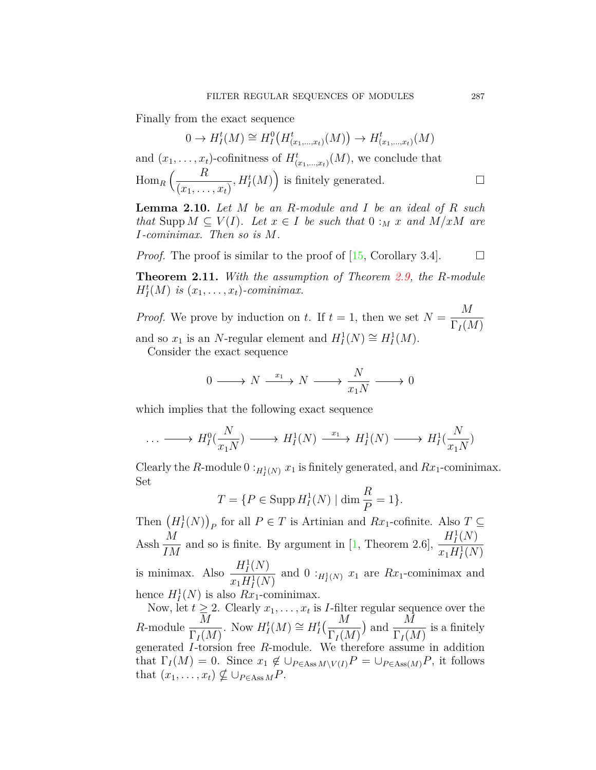Finally from the exact sequence

$$
0 \to H^t_I(M) \cong H^0_I(H^t_{(x_1,\ldots,x_t)}(M)) \to H^t_{(x_1,\ldots,x_t)}(M)
$$

and  $(x_1, \ldots, x_t)$ -cofinitness of  $H^t_{(x_1,\ldots,x_t)}(M)$ , we conclude that  $\lim_{R} \left( \frac{R}{\sqrt{R}} \right)$  $(x_1, \ldots, x_t)$  $,H_I^t(M)$  is finitely generated. □

**Lemma 2.10.** *Let M be an R-module and I be an ideal of R such that* Supp  $M \subseteq V(I)$ *. Let*  $x \in I$  *be such that*  $0 :_M x$  *and*  $M/xM$  *are I-cominimax. Then so is M.*

*Proof.* The proof is similar to the proof of  $[15, Corollary 3.4]$  $[15, Corollary 3.4]$  $[15, Corollary 3.4]$ .  $\Box$ 

**Theorem 2.11.** *With the assumption of Theorem [2.9,](#page-5-0) the R-module*  $H_I^t(M)$  *is*  $(x_1, \ldots, x_t)$ -cominimax.

*Proof.* We prove by induction on *t*. If  $t = 1$ , then we set  $N = \frac{M}{R}$  $\Gamma_I(M)$ and so  $x_1$  is an *N*-regular element and  $H_I^1(N) \cong H_I^1(M)$ .

Consider the exact sequence

$$
0 \longrightarrow N \xrightarrow{x_1} N \longrightarrow \frac{N}{x_1N} \longrightarrow 0
$$

which implies that the following exact sequence

$$
\ldots \longrightarrow H_I^0(\frac{N}{x_1N}) \longrightarrow H_I^1(N) \xrightarrow{x_1} H_I^1(N) \longrightarrow H_I^1(\frac{N}{x_1N})
$$

Clearly the *R*-module  $0:_{H_I^1(N)} x_1$  is finitely generated, and  $Rx_1$ -cominimax. Set

$$
T = \{ P \in \text{Supp } H^1_I(N) \mid \dim \frac{R}{P} = 1 \}.
$$

Then  $(H_I^1(N))_P$  for all  $P \in T$  is Artinian and  $Rx_1$ -cofinite. Also  $T \subseteq$ Assh $\frac{M}{\tau}$ *IM* and so is finite. By argument in [[1](#page-8-5), Theorem 2.6],  $\frac{H_1^1(N)}{H_1^1(N)}$  $x_1 H_I^1(N)$ is minimax. Also  $\frac{H^1_I(N)}{H^1_I(N)}$  $\frac{H_I(x)}{x_1H_I^1(N)}$  and  $0:_{H_I^1(N)} x_1$  are  $Rx_1$ -cominimax and hence  $H_I^1(N)$  is also  $Rx_1$ -cominimax.

Now, let  $t \geq 2$ . Clearly  $x_1, \ldots, x_t$  is *I*-filter regular sequence over the  $R$ -module  $\frac{M}{R}$  $\Gamma_I(M)$ . Now  $H_I^t(M) \cong H_I^t(\frac{M}{\Gamma_{\text{max}}(M)})$  $\Gamma_I(M)$ ) and  $\frac{M}{\Gamma(A)}$  $\Gamma_I(M)$ is a finitely generated *I*-torsion free *R*-module. We therefore assume in addition that  $\Gamma_I(M) = 0$ . Since  $x_1 \notin \bigcup_{P \in \text{Ass } M \setminus V(I)} P = \bigcup_{P \in \text{Ass}(M)} P$ , it follows that  $(x_1, \ldots, x_t) \nsubseteq \bigcup_{P \in \text{Ass } M} P$ .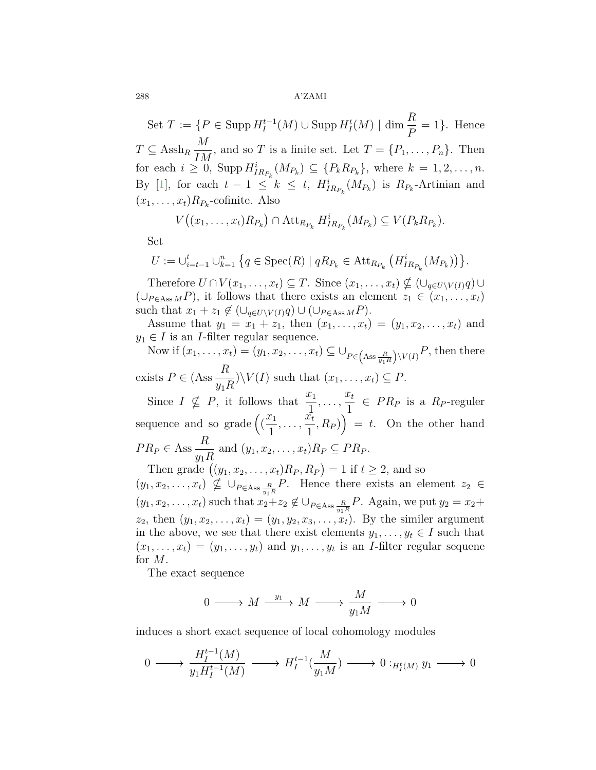Set  $T := \{ P \in \text{Supp } H_I^{t-1}(M) \cup \text{Supp } H_I^t(M) \mid \dim \frac{R}{P} = 1 \}.$  Hence  $T \subseteq \text{Assh}_R$ *M*  $\frac{1}{IM}$ , and so *T* is a finite set. Let  $T = \{P_1, \ldots, P_n\}$ . Then for each  $i \geq 0$ , Supp  $H_{IR_{P_k}}^i(M_{P_k}) \subseteq \{P_k R_{P_k}\}$ , where  $k = 1, 2, ..., n$ . By [\[1](#page-8-5)], for each  $t-1 \leq k \leq t$ ,  $H_{IR_{P_k}}^i(M_{P_k})$  is  $R_{P_k}$ -Artinian and  $(x_1, \ldots, x_t)R_{P_k}$ -cofinite. Also

$$
V((x_1,\ldots,x_t)R_{P_k})\cap \text{Att}_{R_{P_k}}H^i_{IR_{P_k}}(M_{P_k})\subseteq V(P_kR_{P_k}).
$$

Set

$$
U := \bigcup_{i=t-1}^{t} \bigcup_{k=1}^{n} \left\{ q \in \text{Spec}(R) \mid qR_{P_{k}} \in \text{Att}_{R_{P_{k}}} (H_{IR_{P_{k}}}^{i}(M_{P_{k}})) \right\}.
$$

 $\text{Therefore } U \cap V(x_1, \ldots, x_t) \subseteq T.$  Since  $(x_1, \ldots, x_t) \nsubseteq (\bigcup_{q \in U \setminus V(I)} q) \cup$  $(\cup_{P \in \text{Ass } M} P)$ , it follows that there exists an element  $z_1 \in (x_1, \ldots, x_t)$ such that  $x_1 + z_1 \notin (\cup_{q \in U \setminus V(I)} q) \cup (\cup_{P \in \text{Ass } M} P)$ .

Assume that  $y_1 = x_1 + z_1$ , then  $(x_1, \ldots, x_t) = (y_1, x_2, \ldots, x_t)$  and  $y_1 \in I$  is an *I*-filter regular sequence.

Now if  $(x_1, ..., x_t) = (y_1, x_2, ..., x_t) \subseteq \bigcup_{P \in \left( \text{Ass } \frac{R}{y_1 R} \right)}$  $\chi_{V(I)} P$ , then there exists  $P \in (Ass - \frac{R}{R})$ *y*1*R*  $\forall V(I)$  such that  $(x_1, \ldots, x_t) \subseteq P$ .

Since  $I \nsubseteq P$ , it follows that  $\frac{x_1}{1}$  $,\ldots,\frac{x_t}{1}$  $\frac{\partial u}{\partial x} \in PR_P$  is a  $R_P$ -reguler sequence and so grade  $\left(\frac{x_1}{1}\right)$ 1  $,\ldots,\frac{x_t^{\mathbf{L}}}{\mathbf{L}}$  $(\frac{\vec{r}_t}{1}, R_P)$  = *t*. On the other hand  $PR_P \in \text{Ass } \frac{R}{P}$ *y*1*R* and  $(y_1, x_2, \ldots, x_t)R_P \subseteq PR_P$ .

Then grade  $((y_1, x_2, \ldots, x_t)R_P, R_P) = 1$  if  $t \geq 2$ , and so  $(y_1, x_2, \ldots, x_t) \nsubseteq \bigcup_{P \in \text{Ass } \frac{R}{y_1 R}} P$ . Hence there exists an element  $z_2 \in$  $(y_1, x_2, \ldots, x_t)$  such that  $x_2 + z_2 \notin \bigcup_{P \in \text{Ass } \frac{R}{y_1 R}} P$ . Again, we put  $y_2 = x_2 + z_1$  $z_2$ , then  $(y_1, x_2, \ldots, x_t) = (y_1, y_2, x_3, \ldots, x_t)$ . By the similer argument in the above, we see that there exist elements  $y_1, \ldots, y_t \in I$  such that  $(x_1, \ldots, x_t) = (y_1, \ldots, y_t)$  and  $y_1, \ldots, y_t$  is an *I*-filter regular sequene for *M*.

The exact sequence

$$
0 \longrightarrow M \xrightarrow{y_1} M \longrightarrow \frac{M}{y_1 M} \longrightarrow 0
$$

induces a short exact sequence of local cohomology modules

$$
0 \longrightarrow \frac{H^{t-1}_I(M)}{y_1 H^{t-1}_I(M)} \longrightarrow H^{t-1}_I(\frac{M}{y_1 M}) \longrightarrow 0:_{H^t_I(M)} y_1 \longrightarrow 0
$$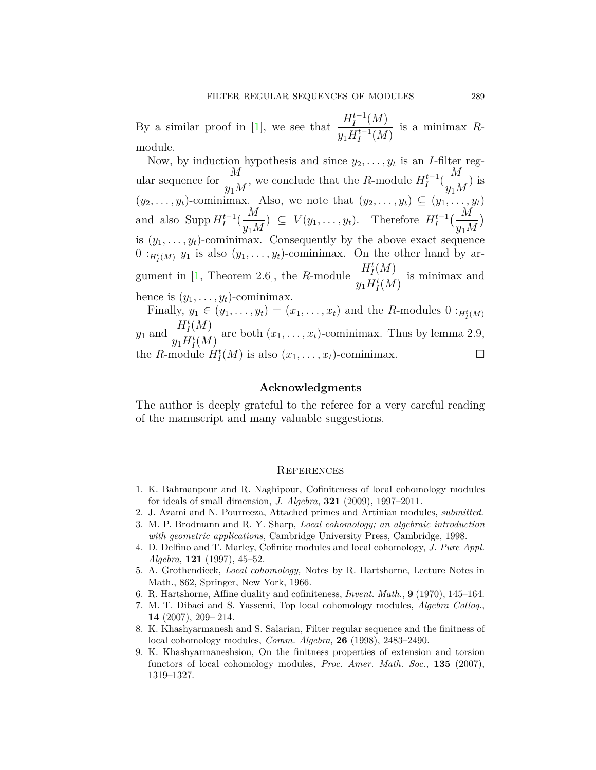By a similar proof in [\[1](#page-8-5)], we see that  $\frac{H_I^{t-1}(M)}{H^{t-1}(M)}$  $y_1 H_I^{t-1}(M)$ is a minimax *R*module.

Now, by induction hypothesis and since  $y_2, \ldots, y_t$  is an *I*-filter regular sequence for  $\frac{M}{\sqrt{M}}$ *y*1*M* , we conclude that the *R*-module  $H_I^{t-1}$  $I^{t-1}$ ( *M y*1*M* ) is  $(y_2, \ldots, y_t)$ -cominimax. Also, we note that  $(y_2, \ldots, y_t) \subseteq (y_1, \ldots, y_t)$ and also Supp  $H_I^{t-1}$  $I^{t-1}$ ( *M y*1*M*  $)$  ⊆  $V(y_1, \ldots, y_t)$ . Therefore  $H_I^{t-1}$  $\frac{1}{I}^{t-1} \left( \frac{M}{\frac{1}{I} + M} \right)$ *y*1*M* ) is  $(y_1, \ldots, y_t)$ -cominimax. Consequently by the above exact sequence  $0:_{H^t_I(M)} y_1$  is also  $(y_1, \ldots, y_t)$ -cominimax. On the other hand by ar-gument in [\[1](#page-8-5), Theorem 2.6], the *R*-module  $\frac{H_I^t(M)}{H_I^t(M)}$  $y_1 H_I^t(M)$ is minimax and hence is  $(y_1, \ldots, y_t)$ -cominimax.

Finally,  $y_1 \in (y_1, \ldots, y_t) = (x_1, \ldots, x_t)$  and the *R*-modules  $0: H^t_I(M)$  $y_1$  and  $\frac{H_I^t(M)}{H_I^t(M)}$  $\frac{H_I(M)}{y_1 H_I^t(M)}$  are both  $(x_1, \ldots, x_t)$ -cominimax. Thus by lemma 2.9, the *R*-module  $H_I^t(M)$  is also  $(x_1, \ldots, x_t)$ -cominimax. □

### **Acknowledgments**

The author is deeply grateful to the referee for a very careful reading of the manuscript and many valuable suggestions.

#### **REFERENCES**

- <span id="page-8-5"></span>1. K. Bahmanpour and R. Naghipour, Cofiniteness of local cohomology modules for ideals of small dimension, *J. Algebra*, **321** (2009), 1997–2011.
- <span id="page-8-7"></span>2. J. Azami and N. Pourreeza, Attached primes and Artinian modules, *submitted*.
- <span id="page-8-1"></span>3. M. P. Brodmann and R. Y. Sharp, *Local cohomology; an algebraic introduction with geometric applications,* Cambridge University Press, Cambridge, 1998.
- <span id="page-8-3"></span>4. D. Delfino and T. Marley, Cofinite modules and local cohomology, *J. Pure Appl. Algebra*, **121** (1997), 45–52.
- <span id="page-8-0"></span>5. A. Grothendieck, *Local cohomology,* Notes by R. Hartshorne, Lecture Notes in Math., 862, Springer, New York, 1966.
- <span id="page-8-2"></span>6. R. Hartshorne, Affine duality and cofiniteness, *Invent. Math.*, **9** (1970), 145–164.
- <span id="page-8-8"></span>7. M. T. Dibaei and S. Yassemi, Top local cohomology modules, *Algebra Colloq.*, **14** (2007), 209-214.
- <span id="page-8-6"></span>8. K. Khashyarmanesh and S. Salarian, Filter regular sequence and the finitness of local cohomology modules, *Comm. Algebra*, **26** (1998), 2483–2490.
- <span id="page-8-4"></span>9. K. Khashyarmaneshsion, On the finitness properties of extension and torsion functors of local cohomology modules, *Proc. Amer. Math. Soc.*, **135** (2007), 1319–1327.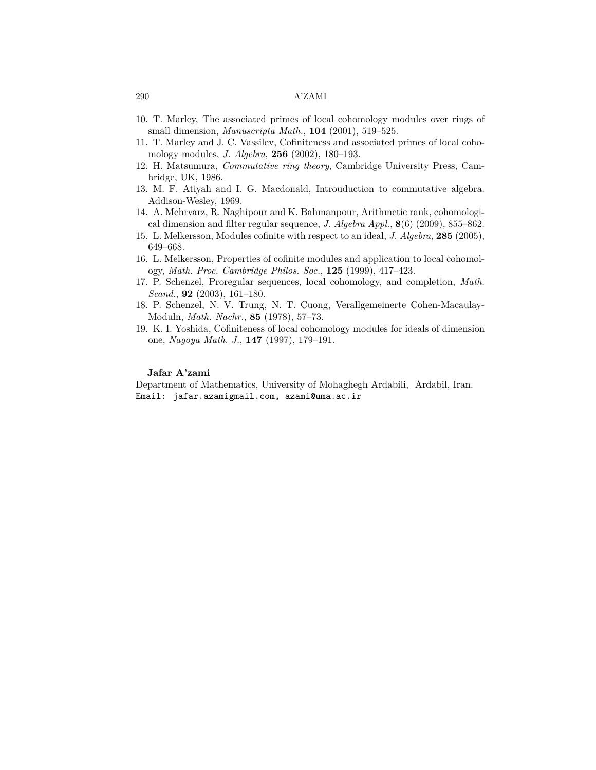- <span id="page-9-3"></span>10. T. Marley, The associated primes of local cohomology modules over rings of small dimension, *Manuscripta Math.*, **104** (2001), 519–525.
- <span id="page-9-1"></span>11. T. Marley and J. C. Vassilev, Cofiniteness and associated primes of local cohomology modules, *J. Algebra*, **256** (2002), 180–193.
- <span id="page-9-4"></span>12. H. Matsumura, *Commutative ring theory*, Cambridge University Press, Cambridge, UK, 1986.
- 13. M. F. Atiyah and I. G. Macdonald, Introuduction to commutative algebra. Addison-Wesley, 1969.
- <span id="page-9-8"></span>14. A. Mehrvarz, R. Naghipour and K. Bahmanpour, Arithmetic rank, cohomological dimension and filter regular sequence, *J. Algebra Appl.*, **8**(6) (2009), 855–862.
- <span id="page-9-5"></span>15. L. Melkersson, Modules cofinite with respect to an ideal, *J. Algebra*, **285** (2005), 649–668.
- <span id="page-9-7"></span>16. L. Melkersson, Properties of cofinite modules and application to local cohomology, *Math. Proc. Cambridge Philos. Soc.*, **125** (1999), 417–423.
- <span id="page-9-6"></span>17. P. Schenzel, Proregular sequences, local cohomology, and completion, *Math. Scand.*, **92** (2003), 161–180.
- <span id="page-9-0"></span>18. P. Schenzel, N. V. Trung, N. T. Cuong, Verallgemeinerte Cohen-Macaulay-Moduln, *Math. Nachr.*, **85** (1978), 57–73.
- <span id="page-9-2"></span>19. K. I. Yoshida, Cofiniteness of local cohomology modules for ideals of dimension one, *Nagoya Math. J.*, **147** (1997), 179–191.

### **Jafar A'zami**

Department of Mathematics, University of Mohaghegh Ardabili, Ardabil, Iran. Email: jafar.azamigmail.com, azami@uma.ac.ir